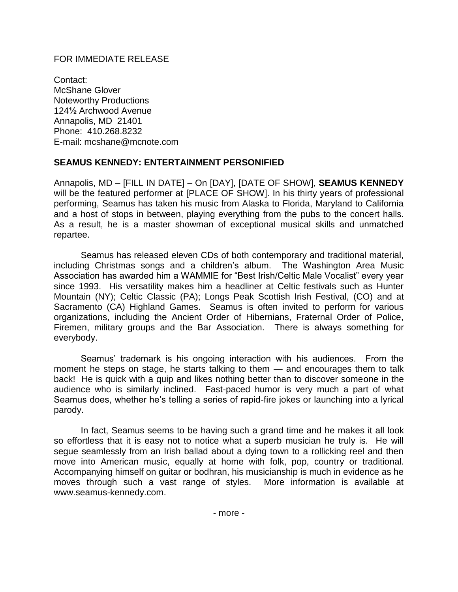## FOR IMMEDIATE RELEASE

Contact: McShane Glover Noteworthy Productions 124**½** Archwood Avenue Annapolis, MD 21401 Phone: 410.268.8232 E-mail: mcshane@mcnote.com

## **SEAMUS KENNEDY: ENTERTAINMENT PERSONIFIED**

Annapolis, MD – [FILL IN DATE] – On [DAY], [DATE OF SHOW], **SEAMUS KENNEDY** will be the featured performer at [PLACE OF SHOW]. In his thirty years of professional performing, Seamus has taken his music from Alaska to Florida, Maryland to California and a host of stops in between, playing everything from the pubs to the concert halls. As a result, he is a master showman of exceptional musical skills and unmatched repartee.

Seamus has released eleven CDs of both contemporary and traditional material, including Christmas songs and a children's album. The Washington Area Music Association has awarded him a WAMMIE for "Best Irish/Celtic Male Vocalist" every year since 1993. His versatility makes him a headliner at Celtic festivals such as Hunter Mountain (NY); Celtic Classic (PA); Longs Peak Scottish Irish Festival, (CO) and at Sacramento (CA) Highland Games. Seamus is often invited to perform for various organizations, including the Ancient Order of Hibernians, Fraternal Order of Police, Firemen, military groups and the Bar Association. There is always something for everybody.

Seamus' trademark is his ongoing interaction with his audiences. From the moment he steps on stage, he starts talking to them — and encourages them to talk back! He is quick with a quip and likes nothing better than to discover someone in the audience who is similarly inclined. Fast-paced humor is very much a part of what Seamus does, whether he's telling a series of rapid-fire jokes or launching into a lyrical parody.

In fact, Seamus seems to be having such a grand time and he makes it all look so effortless that it is easy not to notice what a superb musician he truly is. He will segue seamlessly from an Irish ballad about a dying town to a rollicking reel and then move into American music, equally at home with folk, pop, country or traditional. Accompanying himself on guitar or bodhran, his musicianship is much in evidence as he moves through such a vast range of styles. More information is available at [www.seamus-kennedy.com.](http://www.seamus-kennedy.com/)